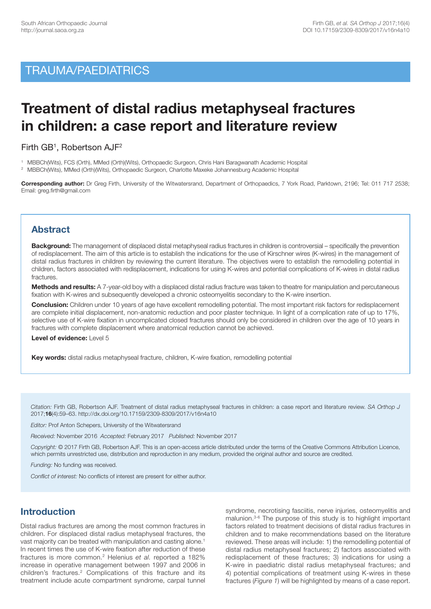# TRAUMA/PAEDIATRICS

# **Treatment of distal radius metaphyseal fractures in children: a case report and literature review**

Firth GB1, Robertson AJF2

1 MBBCh(Wits), FCS (Orth), MMed (Orth)(Wits), Orthopaedic Surgeon, Chris Hani Baragwanath Academic Hospital

<sup>2</sup> MBBCh(Wits), MMed (Orth)(Wits), Orthopaedic Surgeon, Charlotte Maxeke Johannesburg Academic Hospital

**Corresponding author:** Dr Greg Firth, University of the Witwatersrand, Department of Orthopaedics, 7 York Road, Parktown, 2196; Tel: 011 717 2538; Email: greg.firth@gmail.com

# **Abstract**

**Background:** The management of displaced distal metaphyseal radius fractures in children is controversial – specifically the prevention of redisplacement. The aim of this article is to establish the indications for the use of Kirschner wires (K-wires) in the management of distal radius fractures in children by reviewing the current literature. The objectives were to establish the remodelling potential in children, factors associated with redisplacement, indications for using K-wires and potential complications of K-wires in distal radius fractures.

**Methods and results:** A 7-year-old boy with a displaced distal radius fracture was taken to theatre for manipulation and percutaneous fixation with K-wires and subsequently developed a chronic osteomyelitis secondary to the K-wire insertion.

**Conclusion:** Children under 10 years of age have excellent remodelling potential. The most important risk factors for redisplacement are complete initial displacement, non-anatomic reduction and poor plaster technique. In light of a complication rate of up to 17%, selective use of K-wire fixation in uncomplicated closed fractures should only be considered in children over the age of 10 years in fractures with complete displacement where anatomical reduction cannot be achieved.

**Level of evidence:** Level 5

**Key words:** distal radius metaphyseal fracture, children, K-wire fixation, remodelling potential

*Citation:* Firth GB, Robertson AJF. Treatment of distal radius metaphyseal fractures in children: a case report and literature review. *SA Orthop J* 2017;**16**(4):59–63. http://dx.doi.org/10.17159/2309-8309/2017/v16n4a10

*Editor:* Prof Anton Schepers, University of the Witwatersrand

*Received:* November 2016 *Accepted:* February 2017 *Published:* November 2017

*Copyright:* © 2017 Firth GB, Robertson AJF. This is an open-access article distributed under the terms of the Creative Commons Attribution Licence, which permits unrestricted use, distribution and reproduction in any medium, provided the original author and source are credited.

*Funding:* No funding was received.

*Conflict of interest:* No conflicts of interest are present for either author.

# **Introduction**

Distal radius fractures are among the most common fractures in children. For displaced distal radius metaphyseal fractures, the vast majority can be treated with manipulation and casting alone. 1 In recent times the use of K-wire fixation after reduction of these fractures is more common. <sup>2</sup> Helenius *et al.* reported a 182% increase in operative management between 1997 and 2006 in children's fractures. <sup>2</sup> Complications of this fracture and its treatment include acute compartment syndrome, carpal tunnel syndrome, necrotising fasciitis, nerve injuries, osteomyelitis and malunion. 3-6 The purpose of this study is to highlight important factors related to treatment decisions of distal radius fractures in children and to make recommendations based on the literature reviewed. These areas will include: 1) the remodelling potential of distal radius metaphyseal fractures; 2) factors associated with redisplacement of these fractures; 3) indications for using a K-wire in paediatric distal radius metaphyseal fractures; and 4) potential complications of treatment using K-wires in these fractures (*Figure 1*) will be highlighted by means of a case report.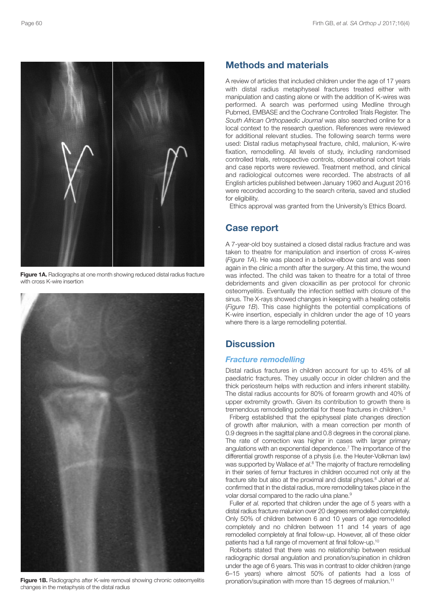

**Figure 1A.** Radiographs at one month showing reduced distal radius fracture with cross K-wire insertion



**Figure 1B.** Radiographs after K-wire removal showing chronic osteomyelitis changes in the metaphysis of the distal radius

## **Methods and materials**

A review of articles that included children under the age of 17 years with distal radius metaphyseal fractures treated either with manipulation and casting alone or with the addition of K-wires was performed. A search was performed using Medline through Pubmed, EMBASE and the Cochrane Controlled Trials Register. The *South African Orthopaedic Journal* was also searched online for a local context to the research question. References were reviewed for additional relevant studies. The following search terms were used: Distal radius metaphyseal fracture, child, malunion, K-wire fixation, remodelling. All levels of study, including randomised controlled trials, retrospective controls, observational cohort trials and case reports were reviewed. Treatment method, and clinical and radiological outcomes were recorded. The abstracts of all English articles published between January 1960 and August 2016 were recorded according to the search criteria, saved and studied for eligibility.

Ethics approval was granted from the University's Ethics Board.

## **Case report**

A 7-year-old boy sustained a closed distal radius fracture and was taken to theatre for manipulation and insertion of cross K-wires (*Figure 1A*). He was placed in a below-elbow cast and was seen again in the clinic a month after the surgery. At this time, the wound was infected. The child was taken to theatre for a total of three debridements and given cloxacillin as per protocol for chronic osteomyelitis. Eventually the infection settled with closure of the sinus. The X-rays showed changes in keeping with a healing osteitis (*Figure 1B*). This case highlights the potential complications of K-wire insertion, especially in children under the age of 10 years where there is a large remodelling potential.

# **Discussion**

### *Fracture remodelling*

Distal radius fractures in children account for up to 45% of all paediatric fractures. They usually occur in older children and the thick periosteum helps with reduction and infers inherent stability. The distal radius accounts for 80% of forearm growth and 40% of upper extremity growth. Given its contribution to growth there is tremendous remodelling potential for these fractures in children.<sup>3</sup>

Friberg established that the epiphyseal plate changes direction of growth after malunion, with a mean correction per month of 0.9 degrees in the sagittal plane and 0.8 degrees in the coronal plane. The rate of correction was higher in cases with larger primary angulations with an exponential dependence. <sup>7</sup> The importance of the differential growth response of a physis (i.e. the Heuter-Volkman law) was supported by Wallace *et al*. <sup>8</sup> The majority of fracture remodelling in their series of femur fractures in children occurred not only at the fracture site but also at the proximal and distal physes. <sup>8</sup> Johari *et al.* confirmed that in the distal radius, more remodelling takes place in the volar dorsal compared to the radio ulna plane.<sup>9</sup>

Fuller *et al.* reported that children under the age of 5 years with a distal radius fracture malunion over 20 degrees remodelled completely. Only 50% of children between 6 and 10 years of age remodelled completely and no children between 11 and 14 years of age remodelled completely at final follow-up. However, all of these older patients had a full range of movement at final follow-up.<sup>10</sup>

Roberts stated that there was no relationship between residual radiographic dorsal angulation and pronation/supination in children under the age of 6 years. This was in contrast to older children (range 6–15 years) where almost 50% of patients had a loss of pronation/supination with more than 15 degrees of malunion. 11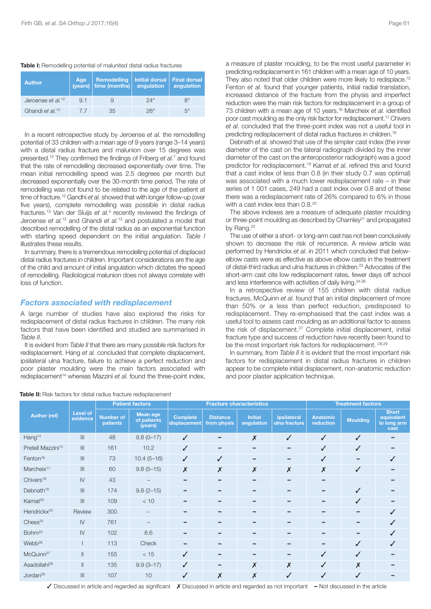#### **Table I:** Remodelling potential of malunited distal radius fractures

| <b>Author</b>                 | Age | <b>Remodelling</b><br>$(years)$ time (months) | Initial dorsal<br>angulation | Final dorsal<br>angulation |  |
|-------------------------------|-----|-----------------------------------------------|------------------------------|----------------------------|--|
| Jeroense et al. <sup>12</sup> | 9.1 |                                               | $24^\circ$                   | $R^{\circ}$                |  |
| Ghandi et al. <sup>13</sup>   | 77  | 35                                            | 26°                          | $5^\circ$                  |  |

In a recent retrospective study by Jeroense *et al.* the remodelling potential of 33 children with a mean age of 9 years (range 3–14 years) with a distal radius fracture and malunion over 15 degrees was presented. <sup>12</sup> They confirmed the findings of Friberg *et al.* <sup>7</sup> and found that the rate of remodelling decreased exponentially over time. The mean initial remodelling speed was 2.5 degrees per month but decreased exponentially over the 30-month time period. The rate of remodelling was not found to be related to the age of the patient at time of fracture. <sup>12</sup> Gandhi *et al.* showed that with longer follow-up (over five years), complete remodelling was possible in distal radius fractures. <sup>13</sup> Van der Sluijs *et al.* <sup>4</sup> recently reviewed the findings of Jeroense *et al.* <sup>12</sup> and Ghandi *et al.* <sup>13</sup> and postulated a model that described remodelling of the distal radius as an exponential function with starting speed dependent on the initial angulation. *Table I* illustrates these results.

In summary, there is a tremendous remodelling potential of displaced distal radius fractures in children. Important considerations are the age of the child and amount of initial angulation which dictates the speed of remodelling. Radiological malunion does not always correlate with loss of function.

### *Factors associated with redisplacement*

A large number of studies have also explored the risks for redisplacement of distal radius fractures in children. The many risk factors that have been identified and studied are summarised in *Table II*.

It is evident from *Table II* that there are many possible risk factors for redisplacement. Hang *et al.* concluded that complete displacement, ipsilateral ulna fracture, failure to achieve a perfect reduction and poor plaster moulding were the main factors associated with redisplacement <sup>14</sup> whereas Mazzini *et al.* found the three-point index,

a measure of plaster moulding, to be the most useful parameter in predicting redisplacement in 161 children with a mean age of 10 years. They also noted that older children were more likely to redisplace. 15 Fenton *et al.* found that younger patients, initial radial translation, increased distance of the fracture from the physis and imperfect reduction were the main risk factors for redisplacement in a group of 73 children with a mean age of 10 years. <sup>16</sup> Marcheix *et al.* identified poor cast moulding as the only risk factor for redisplacement. <sup>17</sup> Chivers *et al.* concluded that the three-point index was not a useful tool in predicting redisplacement of distal radius fractures in children.<sup>18</sup>

Debnath *et al.* showed that use of the simpler cast index (the inner diameter of the cast on the lateral radiograph divided by the inner diameter of the cast on the anteroposterior radiograph) was a good predictor for redisplacement. <sup>19</sup> Kamat *et al.* refined this and found that a cast index of less than 0.8 (in their study 0.7 was optimal) was associated with a much lower redisplacement rate – in their series of 1 001 cases, 249 had a cast index over 0.8 and of these there was a redisplacement rate of 26% compared to 6% in those with a cast index less than 0.8.<sup>20</sup>

The above indexes are a measure of adequate plaster moulding or three-point moulding as described by Charnley<sup>21</sup> and propagated by Rang.<sup>22</sup>

The use of either a short- or long-arm cast has not been conclusively shown to decrease the risk of recurrence. A review article was performed by Hendrickx *et al.* in 2011 which concluded that belowelbow casts were as effective as above elbow casts in the treatment of distal-third radius and ulna fractures in children. <sup>23</sup> Advocates of the short-arm cast cite low redisplacement rates, fewer days off school and less interference with activities of daily living.<sup>24-26</sup>

In a retrospective review of 155 children with distal radius fractures, McQuinn *et al.* found that an initial displacement of more than 50% or a less than perfect reduction, predisposed to redisplacement. They re-emphasised that the cast index was a useful tool to assess cast moulding as an additional factor to assess the risk of displacement. <sup>27</sup> Complete initial displacement, initial fracture type and success of reduction have recently been found to be the most important risk factors for redisplacement. 28,29

In summary, from *Table II* it is evident that the most important risk factors for redisplacement in distal radius fractures in children appear to be complete initial displacement, non-anatomic reduction and poor plaster application technique.

| <b>Author (ref)</b>           | <b>Level of</b><br>evidence           | <b>Patient factors</b>              |                                    | <b>Fracture characteristics</b> |                                |                              | <b>Treatment factors</b>            |                              |                 |                                                   |
|-------------------------------|---------------------------------------|-------------------------------------|------------------------------------|---------------------------------|--------------------------------|------------------------------|-------------------------------------|------------------------------|-----------------|---------------------------------------------------|
|                               |                                       | <b>Number of</b><br><b>patients</b> | Mean age<br>of patients<br>(years) | <b>Complete</b><br>displacement | <b>Distance</b><br>from physis | <b>Initial</b><br>angulation | <b>Ipsilateral</b><br>ulna fracture | <b>Anatomic</b><br>reduction | <b>Moulding</b> | <b>Short</b><br>equivalent<br>to long arm<br>cast |
| Hang <sup>14</sup>            | III                                   | 48                                  | $9.8(0 - 17)$                      | $\checkmark$                    |                                | $\boldsymbol{x}$             | ✓                                   | $\checkmark$                 | $\checkmark$    |                                                   |
| Pretell Mazzini <sup>15</sup> | III                                   | 161                                 | 10.2                               | $\checkmark$                    | -                              |                              | -                                   | $\checkmark$                 | $\checkmark$    |                                                   |
| Fenton <sup>16</sup>          | III                                   | 73                                  | $10.4(5 - 16)$                     | $\checkmark$                    | $\checkmark$                   |                              |                                     | $\checkmark$                 |                 | ✓                                                 |
| Marcheix <sup>17</sup>        | III                                   | 60                                  | $9.8(5 - 15)$                      | $\boldsymbol{x}$                | $\pmb{\mathsf{X}}$             | $\boldsymbol{x}$             | $\pmb{\mathsf{X}}$                  | $\pmb{\times}$               | $\checkmark$    |                                                   |
| Chivers <sup>18</sup>         | $\mathsf{I}\mathsf{V}$                | 43                                  |                                    |                                 |                                |                              |                                     |                              |                 |                                                   |
| Debnath <sup>19</sup>         | III                                   | 174                                 | $9.8(2 - 15)$                      | -                               | -                              | -                            |                                     | -                            | $\checkmark$    |                                                   |
| Kamat <sup>20</sup>           | $\ensuremath{\mathsf{III}}\xspace$    | 109                                 | < 10                               |                                 |                                |                              |                                     |                              | ✓               |                                                   |
| Hendrickx <sup>23</sup>       | Review                                | 300                                 |                                    |                                 | -                              | -                            |                                     | -                            | -               | ✓                                                 |
| Chess <sup>24</sup>           | $\mathsf{IV}$                         | 761                                 |                                    |                                 |                                |                              |                                     |                              |                 |                                                   |
| Bohm <sup>25</sup>            | $\mathsf{I}\mathsf{V}$                | 102                                 | 8.6                                |                                 | -                              |                              |                                     | -                            |                 | ✓                                                 |
| Webb <sup>26</sup>            |                                       | 113                                 | Check                              |                                 |                                |                              |                                     | -                            | ✓               | ✓                                                 |
| McQuinn <sup>27</sup>         | $\mathbf{II}$                         | 155                                 | < 15                               | $\checkmark$                    | -                              | -                            |                                     | $\checkmark$                 | ✓               |                                                   |
| Asadollahi <sup>28</sup>      | $\parallel$                           | 135                                 | $9.9(3 - 17)$                      | $\checkmark$                    |                                | $\boldsymbol{x}$             | $\pmb{\chi}$                        | $\checkmark$                 | Х               |                                                   |
| Jordan <sup>29</sup>          | $\begin{array}{c} \hline \end{array}$ | 107                                 | 10                                 | $\checkmark$                    | $\boldsymbol{\mathsf{X}}$      | $\boldsymbol{x}$             | ✓                                   | ✓                            | $\checkmark$    |                                                   |

### **Table II:** Risk factors for distal radius fracture redisplacement

3 Discussed in article and regarded as significant 7 Discussed in article and regarded as not important **–** Not discussed in the article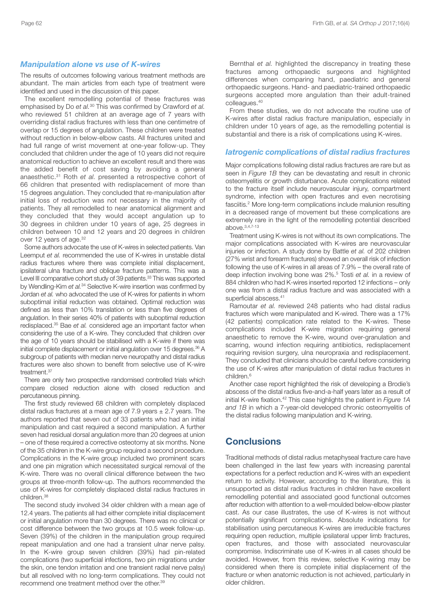### *Manipulation alone vs use of K-wires*

The results of outcomes following various treatment methods are abundant. The main articles from each type of treatment were identified and used in the discussion of this paper.

The excellent remodelling potential of these fractures was emphasised by Do *et al.* <sup>30</sup> This was confirmed by Crawford *et al.* who reviewed 51 children at an average age of 7 years with overriding distal radius fractures with less than one centimetre of overlap or 15 degrees of angulation. These children were treated without reduction in below-elbow casts. All fractures united and had full range of wrist movement at one-year follow-up. They concluded that children under the age of 10 years did not require anatomical reduction to achieve an excellent result and there was the added benefit of cost saving by avoiding a general anaesthetic. <sup>31</sup> Roth *et al.* presented a retrospective cohort of 66 children that presented with redisplacement of more than 15 degrees angulation. They concluded that re-manipulation after initial loss of reduction was not necessary in the majority of patients. They all remodelled to near anatomical alignment and they concluded that they would accept angulation up to 30 degrees in children under 10 years of age, 25 degrees in children between 10 and 12 years and 20 degrees in children over 12 years of age.<sup>32</sup>

Some authors advocate the use of K-wires in selected patients. Van Leemput *et al.* recommended the use of K-wires in unstable distal radius fractures where there was complete initial displacement, ipsilateral ulna fracture and oblique fracture patterns. This was a Level III comparative cohort study of 39 patients.<sup>33</sup> This was supported by Wendling-Kim *et al.* <sup>34</sup> Selective K-wire insertion was confirmed by Jordan *et al.* who advocated the use of K-wires for patients in whom suboptimal initial reduction was obtained. Optimal reduction was defined as less than 10% translation or less than five degrees of angulation. In their series 40% of patients with suboptimal reduction redisplaced. <sup>35</sup> Bae *et al.* considered age an important factor when considering the use of a K-wire. They concluded that children over the age of 10 years should be stabilised with a K-wire if there was initial complete displacement or initial angulation over 15 degrees. <sup>36</sup> A subgroup of patients with median nerve neuropathy and distal radius fractures were also shown to benefit from selective use of K-wire treatment. 37

There are only two prospective randomised controlled trials which compare closed reduction alone with closed reduction and percutaneous pinning.

The first study reviewed 68 children with completely displaced distal radius fractures at a mean age of 7.9 years  $\pm$  2.7 years. The authors reported that seven out of 33 patients who had an initial manipulation and cast required a second manipulation. A further seven had residual dorsal angulation more than 20 degrees at union – one of these required a corrective osteotomy at six months. None of the 35 children in the K-wire group required a second procedure. Complications in the K-wire group included two prominent scars and one pin migration which necessitated surgical removal of the K-wire. There was no overall clinical difference between the two groups at three-month follow-up. The authors recommended the use of K-wires for completely displaced distal radius fractures in children. 38

The second study involved 34 older children with a mean age of 12.4 years. The patients all had either complete initial displacement or initial angulation more than 30 degrees. There was no clinical or cost difference between the two groups at 10.5 week follow-up. Seven (39%) of the children in the manipulation group required repeat manipulation and one had a transient ulnar nerve palsy. In the K-wire group seven children (39%) had pin-related complications (two superficial infections, two pin migrations under the skin, one tendon irritation and one transient radial nerve palsy) but all resolved with no long-term complications. They could not recommend one treatment method over the other.<sup>39</sup>

Bernthal *et al.* highlighted the discrepancy in treating these fractures among orthopaedic surgeons and highlighted differences when comparing hand, paediatric and general orthopaedic surgeons. Hand- and paediatric-trained orthopaedic surgeons accepted more angulation than their adult-trained colleagues. 40

From these studies, we do not advocate the routine use of K-wires after distal radius fracture manipulation, especially in children under 10 years of age, as the remodelling potential is substantial and there is a risk of complications using K-wires.

#### *Iatrogenic complications of distal radius fractures*

Major complications following distal radius fractures are rare but as seen in *Figure 1B* they can be devastating and result in chronic osteomyelitis or growth disturbance. Acute complications related to the fracture itself include neurovascular injury, compartment syndrome, infection with open fractures and even necrotising fasciitis. <sup>2</sup> More long-term complications include malunion resulting in a decreased range of movement but these complications are extremely rare in the light of the remodelling potential described above. 3,4,7-13

Treatment using K-wires is not without its own complications. The major complications associated with K-wires are neurovascular injuries or infection. A study done by Battle *et al.* of 202 children (27% wrist and forearm fractures) showed an overall risk of infection following the use of K-wires in all areas of 7.9% – the overall rate of deep infection involving bone was 2%. <sup>5</sup> Tosti *et al.* in a review of 884 children who had K-wires inserted reported 12 infections – only one was from a distal radius fracture and was associated with a superficial abscess. 41

Ramoutar *et al.* reviewed 248 patients who had distal radius fractures which were manipulated and K-wired. There was a 17% (42 patients) complication rate related to the K-wires. These complications included K-wire migration requiring general anaesthetic to remove the K-wire, wound over-granulation and scarring, wound infection requiring antibiotics, redisplacement requiring revision surgery, ulna neuropraxia and redisplacement. They concluded that clinicians should be careful before considering the use of K-wires after manipulation of distal radius fractures in children. 6

Another case report highlighted the risk of developing a Brodie's abscess of the distal radius five-and-a-half years later as a result of initial K-wire fixation. <sup>42</sup> This case highlights the patient in *Figure 1A and 1B* in which a 7-year-old developed chronic osteomyelitis of the distal radius following manipulation and K-wiring.

# **Conclusions**

Traditional methods of distal radius metaphyseal fracture care have been challenged in the last few years with increasing parental expectations for a perfect reduction and K-wires with an expedient return to activity. However, according to the literature, this is unsupported as distal radius fractures in children have excellent remodelling potential and associated good functional outcomes after reduction with attention to a well-moulded below-elbow plaster cast. As our case illustrates, the use of K-wires is not without potentially significant complications. Absolute indications for stabilisation using percutaneous K-wires are irreducible fractures requiring open reduction, multiple ipsilateral upper limb fractures, open fractures, and those with associated neurovascular compromise. Indiscriminate use of K-wires in all cases should be avoided. However, from this review, selective K-wiring may be considered when there is complete initial displacement of the fracture or when anatomic reduction is not achieved, particularly in older children.